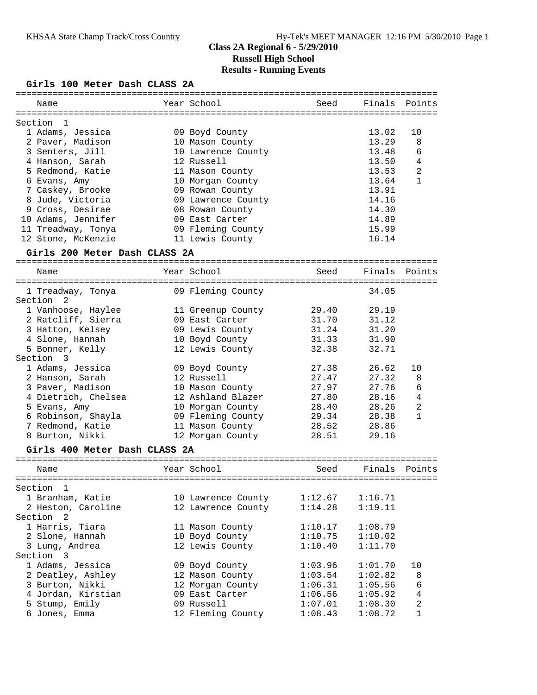### **Girls 100 Meter Dash CLASS 2A**

|                                       |                    | ========================= |         |                |
|---------------------------------------|--------------------|---------------------------|---------|----------------|
| Name                                  | Year School        | Seed                      | Finals  | Points         |
|                                       |                    |                           |         |                |
| Section<br>1                          |                    |                           |         |                |
| 1 Adams, Jessica                      | 09 Boyd County     |                           | 13.02   | 10             |
| 2 Paver, Madison                      | 10 Mason County    |                           | 13.29   | 8              |
| 3 Senters, Jill                       | 10 Lawrence County |                           | 13.48   | 6              |
| 4 Hanson, Sarah                       | 12 Russell         |                           | 13.50   | 4              |
| 5 Redmond, Katie                      | 11 Mason County    |                           | 13.53   | 2              |
| 6 Evans, Amy                          | 10 Morgan County   |                           | 13.64   | $\mathbf{1}$   |
| 7 Caskey, Brooke                      | 09 Rowan County    |                           | 13.91   |                |
| 8 Jude, Victoria                      | 09 Lawrence County |                           | 14.16   |                |
| 9 Cross, Desirae                      | 08 Rowan County    |                           | 14.30   |                |
| 10 Adams, Jennifer                    | 09 East Carter     |                           | 14.89   |                |
| 11 Treadway, Tonya                    | 09 Fleming County  |                           | 15.99   |                |
| 12 Stone, McKenzie                    | 11 Lewis County    |                           | 16.14   |                |
| Girls 200 Meter Dash CLASS 2A         |                    |                           |         |                |
| Name                                  | Year School        | Seed                      | Finals  | Points         |
|                                       |                    |                           |         |                |
| 1 Treadway, Tonya                     | 09 Fleming County  |                           | 34.05   |                |
| Section<br>$\overline{\phantom{0}}^2$ |                    |                           |         |                |
| 1 Vanhoose, Haylee                    | 11 Greenup County  | 29.40                     | 29.19   |                |
| 2 Ratcliff, Sierra                    | 09 East Carter     | 31.70                     | 31.12   |                |
| 3 Hatton, Kelsey                      | 09 Lewis County    | 31.24                     | 31.20   |                |
| 4 Slone, Hannah                       | 10 Boyd County     | 31.33                     | 31.90   |                |
| 5 Bonner, Kelly                       | 12 Lewis County    | 32.38                     | 32.71   |                |
| Section<br>-3                         |                    |                           |         |                |
| 1 Adams, Jessica                      | 09 Boyd County     | 27.38                     | 26.62   | 10             |
| 2 Hanson, Sarah                       | 12 Russell         | 27.47                     | 27.32   | 8              |
| 3 Paver, Madison                      | 10 Mason County    | 27.97                     | 27.76   | 6              |
| 4 Dietrich, Chelsea                   | 12 Ashland Blazer  | 27.80                     | 28.16   | 4              |
| 5 Evans, Amy                          | 10 Morgan County   | 28.40                     | 28.26   | $\overline{c}$ |
| 6 Robinson, Shayla                    | 09 Fleming County  | 29.34                     | 28.38   | $\mathbf{1}$   |
| 7 Redmond, Katie                      | 11 Mason County    | 28.52                     | 28.86   |                |
| 8 Burton, Nikki                       | 12 Morgan County   | 28.51                     | 29.16   |                |
| Girls 400 Meter Dash CLASS 2A         |                    |                           |         |                |
|                                       | Year School        | Seed                      | Finals  | Points         |
| Name                                  |                    |                           |         |                |
| Section<br>1                          |                    |                           |         |                |
| 1 Branham, Katie                      | 10 Lawrence County | 1:12.67                   | 1:16.71 |                |
| 2 Heston, Caroline                    | 12 Lawrence County | 1:14.28                   | 1:19.11 |                |
| Section 2                             |                    |                           |         |                |
| 1 Harris, Tiara                       | 11 Mason County    | 1:10.17                   | 1:08.79 |                |
| 2 Slone, Hannah                       | 10 Boyd County     | 1:10.75                   | 1:10.02 |                |
| 3 Lung, Andrea                        | 12 Lewis County    | 1:10.40                   | 1:11.70 |                |
| Section 3                             |                    |                           |         |                |
| 1 Adams, Jessica                      | 09 Boyd County     | 1:03.96                   | 1:01.70 | 10             |
|                                       | 12 Mason County    | 1:03.54                   | 1:02.82 | 8              |
| 2 Deatley, Ashley                     |                    |                           |         |                |
| 3 Burton, Nikki                       | 12 Morgan County   | 1:06.31                   | 1:05.56 | 6              |
| 4 Jordan, Kirstian                    | 09 East Carter     | 1:06.56                   | 1:05.92 | $\overline{4}$ |
| 5 Stump, Emily                        | 09 Russell         | 1:07.01                   | 1:08.30 | $\overline{c}$ |
| 6 Jones, Emma                         | 12 Fleming County  | 1:08.43                   | 1:08.72 | $\mathbf{1}$   |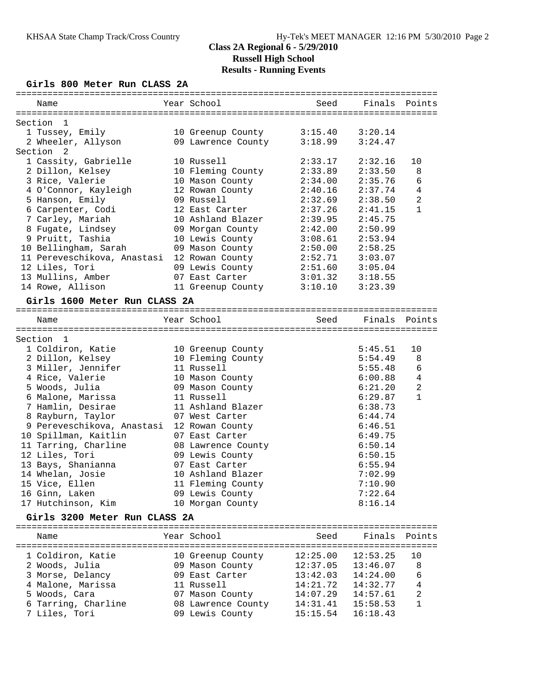#### **Girls 800 Meter Run CLASS 2A**

| Name                                  | Year School                   | Seed    | Finals             | Points              |
|---------------------------------------|-------------------------------|---------|--------------------|---------------------|
| Section 1                             |                               |         |                    |                     |
| 1 Tussey, Emily                       | 10 Greenup County             | 3:15.40 | 3:20.14            |                     |
| 2 Wheeler, Allyson                    | 09 Lawrence County            | 3:18.99 | 3:24.47            |                     |
| Section<br>2                          |                               |         |                    |                     |
| 1 Cassity, Gabrielle                  | 10 Russell                    | 2:33.17 | 2:32.16            | 10                  |
| 2 Dillon, Kelsey                      | 10 Fleming County             | 2:33.89 | 2:33.50            | 8                   |
| 3 Rice, Valerie                       | 10 Mason County               | 2:34.00 | 2:35.76            | 6                   |
| 4 O'Connor, Kayleigh                  | 12 Rowan County               | 2:40.16 | 2:37.74            | $\overline{4}$      |
| 5 Hanson, Emily                       | 09 Russell                    | 2:32.69 | 2:38.50            | 2                   |
| 6 Carpenter, Codi                     | 12 East Carter                | 2:37.26 | 2:41.15            | 1                   |
| 7 Carley, Mariah                      | 10 Ashland Blazer             | 2:39.95 | 2:45.75            |                     |
| 8 Fugate, Lindsey                     | 09 Morgan County              | 2:42.00 | 2:50.99            |                     |
| 9 Pruitt, Tashia                      | 10 Lewis County               | 3:08.61 | 2:53.94            |                     |
| 10 Bellingham, Sarah                  | 09 Mason County               | 2:50.00 | 2:58.25            |                     |
| 11 Pereveschikova, Anastasi           | 12 Rowan County               | 2:52.71 | 3:03.07            |                     |
| 12 Liles, Tori                        | 09 Lewis County               | 2:51.60 | 3:05.04            |                     |
| 13 Mullins, Amber                     | 07 East Carter                | 3:01.32 | 3:18.55            |                     |
| 14 Rowe, Allison                      | 11 Greenup County             | 3:10.10 | 3:23.39            |                     |
|                                       |                               |         |                    |                     |
| Girls 1600 Meter Run CLASS 2A         |                               |         |                    |                     |
|                                       |                               |         |                    |                     |
| Name                                  | Year School                   | Seed    | Finals Points      |                     |
|                                       |                               |         |                    |                     |
| Section<br>1                          |                               |         |                    |                     |
| 1 Coldiron, Katie<br>2 Dillon, Kelsey | 10 Greenup County             |         | 5:45.51<br>5:54.49 | 10<br>8             |
|                                       | 10 Fleming County             |         |                    |                     |
| 3 Miller, Jennifer                    | 11 Russell                    |         | 5:55.48            | 6                   |
| 4 Rice, Valerie                       | 10 Mason County               |         | 6:00.88            | 4<br>$\overline{2}$ |
| 5 Woods, Julia                        | 09 Mason County<br>11 Russell |         | 6:21.20            | $\mathbf{1}$        |
| 6 Malone, Marissa                     |                               |         | 6:29.87            |                     |
| 7 Hamlin, Desirae                     | 11 Ashland Blazer             |         | 6:38.73            |                     |
| 8 Rayburn, Taylor                     | 07 West Carter                |         | 6:44.74            |                     |
| 9 Pereveschikova, Anastasi            | 12 Rowan County               |         | 6:46.51            |                     |
| 10 Spillman, Kaitlin                  | 07 East Carter                |         | 6:49.75            |                     |
| 11 Tarring, Charline                  | 08 Lawrence County            |         | 6:50.14            |                     |
| 12 Liles, Tori                        | 09 Lewis County               |         | 6:50.15            |                     |
| 13 Bays, Shanianna                    | 07 East Carter                |         | 6:55.94            |                     |
| 14 Whelan, Josie                      | 10 Ashland Blazer             |         | 7:02.99            |                     |
| 15 Vice, Ellen                        | 11 Fleming County             |         | 7:10.90            |                     |
| 16 Ginn, Laken                        | 09 Lewis County               |         | 7:22.64            |                     |
| 17 Hutchinson, Kim                    | 10 Morgan County              |         | 8:16.14            |                     |

#### **Girls 3200 Meter Run CLASS 2A**

| Name                | Year School        | Seed     | Finals Points |                |
|---------------------|--------------------|----------|---------------|----------------|
| 1 Coldiron, Katie   | 10 Greenup County  | 12:25.00 | 12:53.25      | 1 O            |
| 2 Woods, Julia      | 09 Mason County    | 12:37.05 | 13:46.07      | 8              |
| 3 Morse, Delancy    | 09 East Carter     | 13:42.03 | 14:24.00      | 6              |
| 4 Malone, Marissa   | 11 Russell         | 14:21.72 | 14:32.77      | $\overline{4}$ |
| 5 Woods, Cara       | 07 Mason County    | 14:07.29 | 14:57.61      | 2              |
| 6 Tarring, Charline | 08 Lawrence County | 14:31.41 | 15:58.53      |                |
| 7 Liles, Tori       | 09 Lewis County    | 15:15.54 | 16:18.43      |                |
|                     |                    |          |               |                |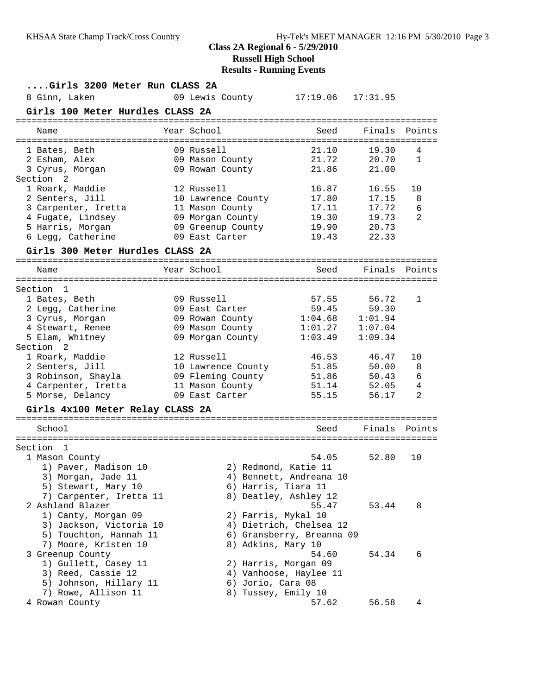# **Class 2A Regional 6 - 5/29/2010 Russell High School**

|                                                                                                                                                             | <b>Results - Running Events</b>                                                                                |                                                                                        |                                                    |                                 |
|-------------------------------------------------------------------------------------------------------------------------------------------------------------|----------------------------------------------------------------------------------------------------------------|----------------------------------------------------------------------------------------|----------------------------------------------------|---------------------------------|
| Girls 3200 Meter Run CLASS 2A<br>8 Ginn, Laken<br>Girls 100 Meter Hurdles CLASS 2A                                                                          | 09 Lewis County                                                                                                | 17:19.06                                                                               | 17:31.95                                           |                                 |
| Name                                                                                                                                                        | Year School                                                                                                    | Seed                                                                                   | Finals                                             | Points                          |
| 1 Bates, Beth<br>2 Esham, Alex<br>3 Cyrus, Morgan<br>Section <sub>2</sub>                                                                                   | 09 Russell<br>09 Mason County<br>09 Rowan County                                                               | 21.10<br>21.72<br>21.86                                                                | 19.30<br>20.70<br>21.00                            | 4<br>$\mathbf{1}$               |
| 1 Roark, Maddie<br>2 Senters, Jill<br>3 Carpenter, Iretta<br>4 Fugate, Lindsey<br>5 Harris, Morgan<br>6 Legg, Catherine<br>Girls 300 Meter Hurdles CLASS 2A | 12 Russell<br>10 Lawrence County<br>11 Mason County<br>09 Morgan County<br>09 Greenup County<br>09 East Carter | 16.87<br>17.80<br>17.11<br>19.30<br>19.90<br>19.43                                     | 16.55<br>17.15<br>17.72<br>19.73<br>20.73<br>22.33 | 10<br>8<br>6<br>2               |
| Name                                                                                                                                                        | Year School                                                                                                    | Seed                                                                                   | Finals                                             | Points                          |
| Section<br>1<br>1 Bates, Beth<br>2 Legg, Catherine<br>3 Cyrus, Morgan<br>4 Stewart, Renee<br>5 Elam, Whitney                                                | 09 Russell<br>09 East Carter<br>09 Rowan County<br>09 Mason County<br>09 Morgan County                         | 57.55<br>59.45<br>1:04.68<br>1:01.27<br>1:03.49                                        | 56.72<br>59.30<br>1:01.94<br>1:07.04<br>1:09.34    | 1                               |
| Section 2<br>1 Roark, Maddie<br>2 Senters, Jill<br>3 Robinson, Shayla<br>4 Carpenter, Iretta<br>5 Morse, Delancy                                            | 12 Russell<br>10 Lawrence County<br>09 Fleming County<br>11 Mason County<br>09 East Carter                     | 46.53<br>51.85<br>51.86<br>51.14<br>55.15                                              | 46.47<br>50.00<br>50.43<br>52.05<br>56.17          | 10<br>8<br>$\epsilon$<br>4<br>2 |
| Girls 4x100 Meter Relay CLASS 2A                                                                                                                            |                                                                                                                |                                                                                        |                                                    |                                 |
| School                                                                                                                                                      |                                                                                                                | Seed                                                                                   |                                                    | Finals Points                   |
| Section 1<br>1 Mason County<br>1) Paver, Madison 10<br>3) Morgan, Jade 11                                                                                   |                                                                                                                | 54.05<br>2) Redmond, Katie 11<br>4) Bennett, Andreana 10                               | 52.80                                              | 10                              |
| 5) Stewart, Mary 10<br>7) Carpenter, Iretta 11<br>2 Ashland Blazer<br>1) Canty, Morgan 09<br>3) Jackson, Victoria 10<br>5) Touchton, Hannah 11              | 6) Harris, Tiara 11<br>2) Farris, Mykal 10                                                                     | 8) Deatley, Ashley 12<br>55.47<br>4) Dietrich, Chelsea 12<br>6) Gransberry, Breanna 09 | 53.44                                              | 8                               |
| 7) Moore, Kristen 10<br>3 Greenup County<br>1) Gullett, Casey 11<br>3) Reed, Cassie 12<br>5) Johnson, Hillary 11<br>7) Rowe, Allison 11                     | 8) Adkins, Mary 10<br>6) Jorio, Cara 08<br>8) Tussey, Emily 10                                                 | 54.60<br>2) Harris, Morgan 09<br>4) Vanhoose, Haylee 11                                | 54.34                                              | 6                               |
| 4 Rowan County                                                                                                                                              |                                                                                                                | 57.62                                                                                  | 56.58                                              | 4                               |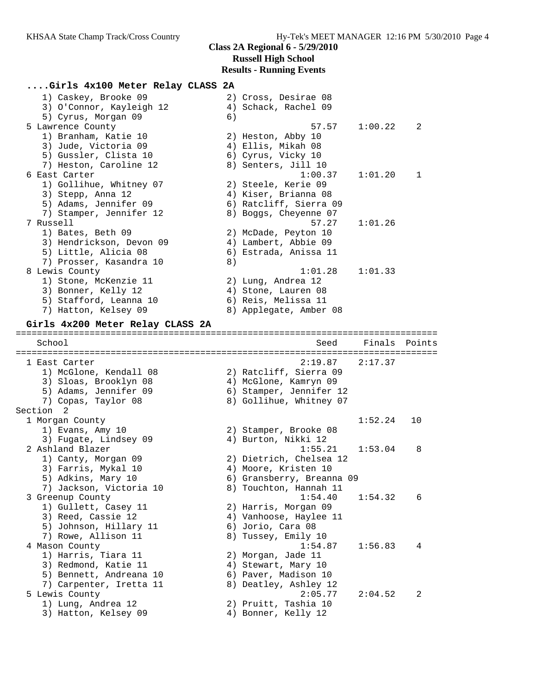# **....Girls 4x100 Meter Relay CLASS 2A**

| 1) Caskey, Brooke 09                            |    | 2) Cross, Desirae 08            |         |        |
|-------------------------------------------------|----|---------------------------------|---------|--------|
| 3) O'Connor, Kayleigh 12<br>5) Cyrus, Morgan 09 | 6) | 4) Schack, Rachel 09            |         |        |
| 5 Lawrence County                               |    | 57.57                           | 1:00.22 | 2      |
| 1) Branham, Katie 10                            |    | 2) Heston, Abby 10              |         |        |
| 3) Jude, Victoria 09                            |    | 4) Ellis, Mikah 08              |         |        |
| 5) Gussler, Clista 10                           |    | 6) Cyrus, Vicky 10              |         |        |
| 7) Heston, Caroline 12                          |    | 8) Senters, Jill 10             |         |        |
| 6 East Carter                                   |    | 1:00.37                         | 1:01.20 | 1      |
| 1) Gollihue, Whitney 07                         |    | 2) Steele, Kerie 09             |         |        |
| 3) Stepp, Anna 12                               |    | 4) Kiser, Brianna 08            |         |        |
| 5) Adams, Jennifer 09                           |    | 6) Ratcliff, Sierra 09          |         |        |
| 7) Stamper, Jennifer 12                         |    | 8) Boggs, Cheyenne 07           |         |        |
| 7 Russell                                       |    | 57.27                           | 1:01.26 |        |
| 1) Bates, Beth 09                               |    | 2) McDade, Peyton 10            |         |        |
| 3) Hendrickson, Devon 09                        |    | 4) Lambert, Abbie 09            |         |        |
| 5) Little, Alicia 08                            |    | 6) Estrada, Anissa 11           |         |        |
| 7) Prosser, Kasandra 10                         | 8) |                                 |         |        |
| 8 Lewis County                                  |    | 1:01.28                         | 1:01.33 |        |
| 1) Stone, McKenzie 11                           |    | 2) Lung, Andrea 12              |         |        |
| 3) Bonner, Kelly 12                             |    | 4) Stone, Lauren 08             |         |        |
| 5) Stafford, Leanna 10                          |    | 6) Reis, Melissa 11             |         |        |
| 7) Hatton, Kelsey 09                            |    | 8) Applegate, Amber 08          |         |        |
| Girls 4x200 Meter Relay CLASS 2A                |    |                                 |         |        |
|                                                 |    |                                 |         |        |
| School                                          |    | Seed                            | Finals  | Points |
| 1 East Carter                                   |    | 2:19.87                         | 2:17.37 |        |
| 1) McGlone, Kendall 08                          |    | 2) Ratcliff, Sierra 09          |         |        |
| 3) Sloas, Brooklyn 08                           |    | 4) McGlone, Kamryn 09           |         |        |
| 5) Adams, Jennifer 09                           |    | 6) Stamper, Jennifer 12         |         |        |
| 7) Copas, Taylor 08                             |    | 8) Gollihue, Whitney 07         |         |        |
| Section 2                                       |    |                                 |         |        |
| 1 Morgan County                                 |    |                                 | 1:52.24 | 10     |
| 1) Evans, Amy 10                                |    | 2) Stamper, Brooke 08           |         |        |
| 3) Fugate, Lindsey 09                           |    | 4) Burton, Nikki 12             |         |        |
| 2 Ashland Blazer                                |    | 1:55.21                         | 1:53.04 | 8      |
| 1) Canty, Morgan 09                             |    | 2) Dietrich, Chelsea 12         |         |        |
| 3) Farris, Mykal 10                             |    | 4) Moore, Kristen 10            |         |        |
| 5) Adkins, Mary 10                              |    | 6) Gransberry, Breanna 09       |         |        |
| 7) Jackson, Victoria 10                         |    | 8) Touchton, Hannah 11          |         |        |
| 3 Greenup County                                |    | 1:54.40                         | 1:54.32 | 6      |
| 1) Gullett, Casey 11                            |    | 2) Harris, Morgan 09            |         |        |
| 3) Reed, Cassie 12                              |    | 4) Vanhoose, Haylee 11          |         |        |
| 5) Johnson, Hillary 11                          |    | 6) Jorio, Cara 08               |         |        |
| 7) Rowe, Allison 11                             |    | 8) Tussey, Emily 10             |         |        |
| 4 Mason County                                  |    | 1:54.87                         | 1:56.83 | 4      |
| 1) Harris, Tiara 11                             |    | 2) Morgan, Jade 11              |         |        |
| 3) Redmond, Katie 11                            |    | 4) Stewart, Mary 10             |         |        |
| 5) Bennett, Andreana 10                         |    | 6) Paver, Madison 10            |         |        |
| 7) Carpenter, Iretta 11                         |    | 8) Deatley, Ashley 12           |         | 2      |
| 5 Lewis County<br>1) Lung, Andrea 12            |    | 2:05.77<br>2) Pruitt, Tashia 10 | 2:04.52 |        |
|                                                 |    |                                 |         |        |
| 3) Hatton, Kelsey 09                            |    | 4) Bonner, Kelly 12             |         |        |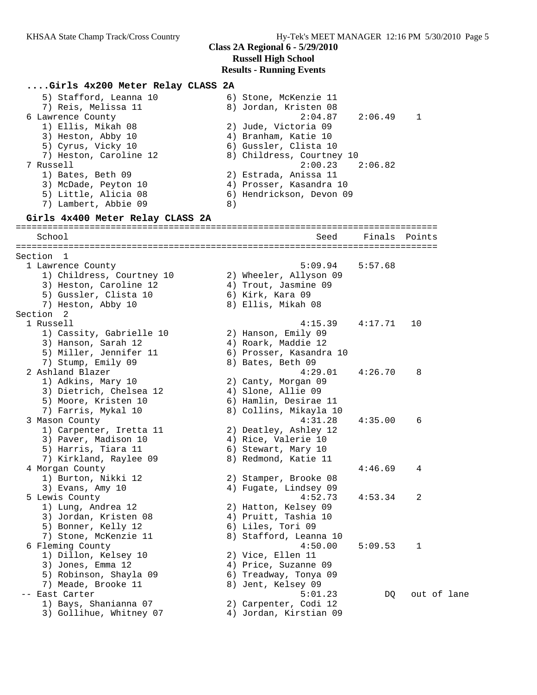#### **....Girls 4x200 Meter Relay CLASS 2A** 5) Stafford, Leanna 10 6) Stone, McKenzie 11 7) Reis, Melissa 11 8) Jordan, Kristen 08 6 Lawrence County 2:04.87 2:06.49 1 1) Ellis, Mikah 08 2) Jude, Victoria 09 3) Heston, Abby 10 (4) Branham, Katie 10 5) Cyrus, Vicky 10 6) Gussler, Clista 10 7) Heston, Caroline 12 8) Childress, Courtney 10 7 Russell 2:00.23 2:06.82 1) Bates, Beth 09 2) Estrada, Anissa 11 3) McDade, Peyton 10 4) Prosser, Kasandra 10 5) Little, Alicia 08 6) Hendrickson, Devon 09 7) Lambert, Abbie 09 8) **Girls 4x400 Meter Relay CLASS 2A** ================================================================================ Seed Finals Points ================================================================================ Section 1<br>1 Lawrence County 1 Lawrence County 5:09.94 5:57.68 1) Childress, Courtney 10 2) Wheeler, Allyson 09 3) Heston, Caroline 12 (4) Trout, Jasmine 09 5) Gussler, Clista 10 (6) Kirk, Kara 09 7) Heston, Abby 10 8) Ellis, Mikah 08 Section 2<br>1 Russell 1 Russell 4:15.39 4:17.71 10 1) Cassity, Gabrielle 10 2) Hanson, Emily 09 3) Hanson, Sarah 12 4) Roark, Maddie 12 5) Miller, Jennifer 11 6) Prosser, Kasandra 10 7) Stump, Emily 09 8) Bates, Beth 09 2 Ashland Blazer 4:29.01 4:26.70 8 1) Adkins, Mary 10 2) Canty, Morgan 09 3) Dietrich, Chelsea 12 4) Slone, Allie 09 5) Moore, Kristen 10 6) Hamlin, Desirae 11 7) Farris, Mykal 10 8) Collins, Mikayla 10 3 Mason County 4:31.28 4:35.00 6 1) Carpenter, Iretta 11 2) Deatley, Ashley 12 3) Paver, Madison 10 4) Rice, Valerie 10 5) Harris, Tiara 11 (6) Stewart, Mary 10 7) Kirkland, Raylee 09 8) Redmond, Katie 11 4 Morgan County 4:46.69 4 1) Burton, Nikki 12 2) Stamper, Brooke 08 3) Evans, Amy 10 4) Fugate, Lindsey 09 5 Lewis County 4:52.73 4:53.34 2 1) Lung, Andrea 12 2) Hatton, Kelsey 09 3) Jordan, Kristen 08  $\hskip1cm \hskip 1cm 4$ ) Pruitt, Tashia 10 5) Bonner, Kelly 12 (6) Liles, Tori 09 7) Stone, McKenzie 11 8) Stafford, Leanna 10 6 Fleming County 4:50.00 5:09.53 1 1) Dillon, Kelsey 10 2) Vice, Ellen 11 3) Jones, Emma 12 4) Price, Suzanne 09 5) Robinson, Shayla 09 6) Treadway, Tonya 09 7) Meade, Brooke 11 and 8) Jent, Kelsey 09 -- East Carter 5:01.23 DQ out of lane 1) Bays, Shanianna 07 2) Carpenter, Codi 12 3) Gollihue, Whitney 07 4) Jordan, Kirstian 09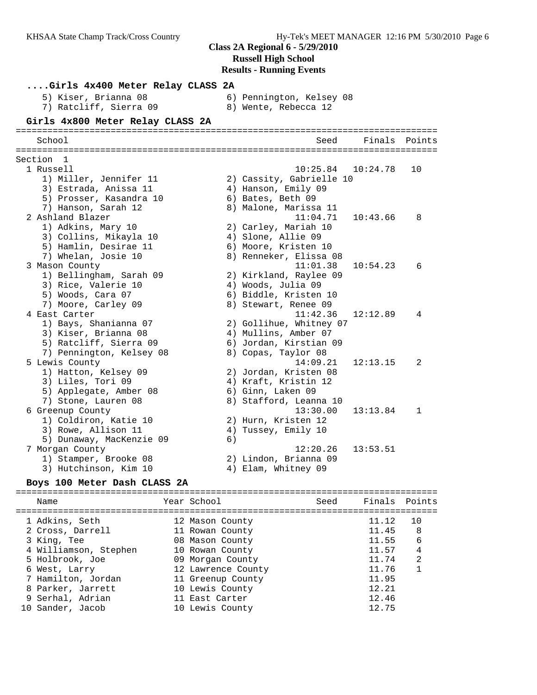**....Girls 4x400 Meter Relay CLASS 2A** 5) Kiser, Brianna 08 6) Pennington, Kelsey 08 7) Ratcliff, Sierra 09 8) Wente, Rebecca 12 **Girls 4x800 Meter Relay CLASS 2A** ================================================================================ School Seed Finals Points ================================================================================ Section 1 1 Russell 10:25.84 10:24.78 10 1) Miller, Jennifer 11 2) Cassity, Gabrielle 10 3) Estrada, Anissa 11  $\qquad \qquad$  4) Hanson, Emily 09 5) Prosser, Kasandra 10 6) Bates, Beth 09 7) Hanson, Sarah 12 8) Malone, Marissa 11 2 Ashland Blazer 11:04.71 10:43.66 8 1) Adkins, Mary 10 2) Carley, Mariah 10 3) Collins, Mikayla 10 4) Slone, Allie 09 5) Hamlin, Desirae 11 6) Moore, Kristen 10 7) Whelan, Josie 10 8) Renneker, Elissa 08 3 Mason County 11:01.38 10:54.23 6 1) Bellingham, Sarah 09 2) Kirkland, Raylee 09 3) Rice, Valerie 10  $\hskip1cm$  4) Woods, Julia 09 5) Woods, Cara 07 6) Biddle, Kristen 10 7) Moore, Carley 09 8) Stewart, Renee 09 4 East Carter 11:42.36 12:12.89 4 1) Bays, Shanianna 07 2) Gollihue, Whitney 07 3) Kiser, Brianna 08 (4) Mullins, Amber 07 5) Ratcliff, Sierra 09 6) Jordan, Kirstian 09 7) Pennington, Kelsey 08 8) Copas, Taylor 08 5 Lewis County 14:09.21 12:13.15 2 1) Hatton, Kelsey 09 2) Jordan, Kristen 08 3) Liles, Tori 09 4) Kraft, Kristin 12 5) Applegate, Amber 08 6) Ginn, Laken 09 7) Stone, Lauren 08 8) Stafford, Leanna 10 6 Greenup County 13:30.00 13:13.84 1 1) Coldiron, Katie 10 2) Hurn, Kristen 12 3) Rowe, Allison 11 (4) Tussey, Emily 10 5) Dunaway, MacKenzie 09 (6) 7 Morgan County 12:20.26 13:53.51 1) Stamper, Brooke 08 2) Lindon, Brianna 09 3) Hutchinson, Kim 10 (4) Elam, Whitney 09

## **Boys 100 Meter Dash CLASS 2A**

================================================================================ Name Year School Seed Finals Points ================================================================================ 1 Adkins, Seth 12 Mason County 11.12 10 2 Cross, Darrell 11 Rowan County 11.45 8 3 King, Tee 08 Mason County 11.55 6 4 Williamson, Stephen 10 Rowan County 11.57 4 5 Holbrook, Joe 09 Morgan County 11.74 2 6 West, Larry 12 Lawrence County 11.76 1 7 Hamilton, Jordan 11 Greenup County 11.95 8 Parker, Jarrett 10 Lewis County 12.21 9 Serhal, Adrian 11 East Carter 12.46 10 Sander, Jacob 10 Lewis County 12.75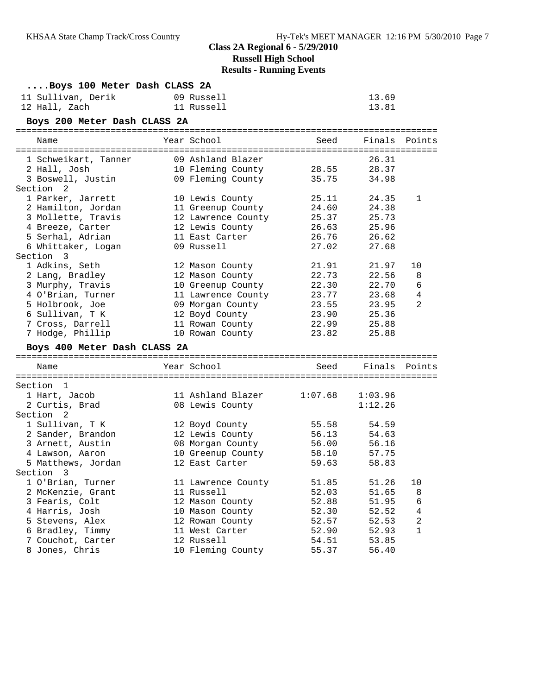# **Class 2A Regional 6 - 5/29/2010**

**Russell High School**

# **Results - Running Events**

| Boys 100 Meter Dash CLASS 2A |                               |         |               |                |
|------------------------------|-------------------------------|---------|---------------|----------------|
| 11 Sullivan, Derik           | 09 Russell                    |         | 13.69         |                |
| 12 Hall, Zach                | 11 Russell                    |         | 13.81         |                |
| Boys 200 Meter Dash CLASS 2A |                               |         |               |                |
| Name                         | Year School                   | Seed    | Finals Points |                |
| 1 Schweikart, Tanner         | 09 Ashland Blazer             |         | 26.31         |                |
| 2 Hall, Josh                 | 10 Fleming County 28.55 28.37 |         |               |                |
| 3 Boswell, Justin            | 09 Fleming County 35.75       |         | 34.98         |                |
| Section 2                    |                               |         |               |                |
| 1 Parker, Jarrett            | 10 Lewis County               | 25.11   | 24.35         | 1              |
| 2 Hamilton, Jordan           | 11 Greenup County             | 24.60   | 24.38         |                |
| 3 Mollette, Travis           | 12 Lawrence County            | 25.37   | 25.73         |                |
| 4 Breeze, Carter             | 12 Lewis County               |         | 26.63 25.96   |                |
| 5 Serhal, Adrian             | 11 East Carter                |         | 26.76 26.62   |                |
| 6 Whittaker, Logan           | 09 Russell                    | 27.02   | 27.68         |                |
| Section 3                    |                               |         |               |                |
| 1 Adkins, Seth               | 12 Mason County               | 21.91   | 21.97         | 10             |
| 2 Lang, Bradley              | 12 Mason County               | 22.73   | 22.56         | 8              |
| 3 Murphy, Travis             | 10 Greenup County             | 22.30   | 22.70         | 6              |
| 4 O'Brian, Turner            | 11 Lawrence County            | 23.77   | 23.68         | 4              |
| 5 Holbrook, Joe              | 09 Morgan County              | 23.55   | 23.95         | 2              |
| 6 Sullivan, T K              | 12 Boyd County                | 23.90   | 25.36         |                |
| 7 Cross, Darrell             | 11 Rowan County               | 22.99   | 25.88         |                |
| 7 Hodge, Phillip             | 10 Rowan County               | 23.82   | 25.88         |                |
| Boys 400 Meter Dash CLASS 2A |                               |         |               |                |
| Name                         | Year School                   | Seed    | Finals Points |                |
| Section 1                    |                               |         |               |                |
| 1 Hart, Jacob                | 11 Ashland Blazer             | 1:07.68 | 1:03.96       |                |
| 2 Curtis, Brad               | 08 Lewis County               |         | 1:12.26       |                |
| Section 2                    |                               |         |               |                |
| 1 Sullivan, T K              | 12 Boyd County                | 55.58   | 54.59         |                |
| 2 Sander, Brandon            | 12 Lewis County               | 56.13   | 54.63         |                |
| 3 Arnett, Austin             | 08 Morgan County              | 56.00   | 56.16         |                |
| 4 Lawson, Aaron              | 10 Greenup County             | 58.10   | 57.75         |                |
| 5 Matthews, Jordan           | 12 East Carter                | 59.63   | 58.83         |                |
| Section 3                    |                               |         |               |                |
| 1 O'Brian, Turner            | 11 Lawrence County            | 51.85   | 51.26         | 10             |
| 2 McKenzie, Grant            | 11 Russell                    | 52.03   | 51.65         | 8              |
| 3 Fearis, Colt               | 12 Mason County               | 52.88   | 51.95         | 6              |
| 4 Harris, Josh               | 10 Mason County               | 52.30   | 52.52         | $\overline{4}$ |
| 5 Stevens, Alex              | 12 Rowan County               | 52.57   | 52.53         | 2              |
| 6 Bradley, Timmy             | 11 West Carter                | 52.90   | 52.93         | $\mathbf{1}$   |
| 7 Couchot, Carter            | 12 Russell                    | 54.51   | 53.85         |                |
| 8 Jones, Chris               | 10 Fleming County             | 55.37   | 56.40         |                |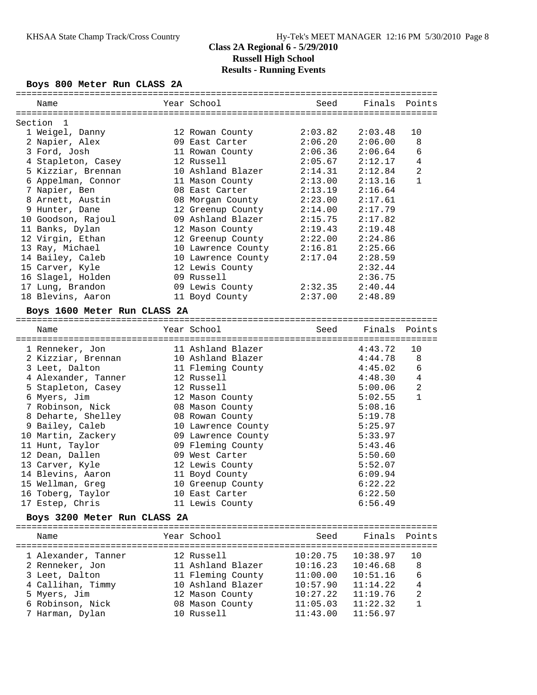### **Boys 800 Meter Run CLASS 2A**

| Name                         | Year School                | Seed    | Finals Points |              |
|------------------------------|----------------------------|---------|---------------|--------------|
| Section<br>$\mathbf{1}$      |                            |         |               |              |
| 1 Weigel, Danny              | 12 Rowan County            | 2:03.82 | 2:03.48       | 10           |
| 2 Napier, Alex               | 09 East Carter             | 2:06.20 | 2:06.00       | 8            |
| 3 Ford, Josh                 | 11 Rowan County            | 2:06.36 | 2:06.64       | 6            |
| 4 Stapleton, Casey           | 12 Russell                 | 2:05.67 | 2:12.17       | 4            |
| 5 Kizziar, Brennan           | 10 Ashland Blazer          | 2:14.31 | 2:12.84       | 2            |
| 6 Appelman, Connor           | 11 Mason County            | 2:13.00 | 2:13.16       | $\mathbf{1}$ |
| 7 Napier, Ben                | 08 East Carter             | 2:13.19 | 2:16.64       |              |
| 8 Arnett, Austin             | 08 Morgan County           | 2:23.00 | 2:17.61       |              |
| 9 Hunter, Dane               | 12 Greenup County 2:14.00  |         | 2:17.79       |              |
| 10 Goodson, Rajoul           | 09 Ashland Blazer          | 2:15.75 | 2:17.82       |              |
| 11 Banks, Dylan              | 12 Mason County            | 2:19.43 | 2:19.48       |              |
| 12 Virgin, Ethan             | 12 Greenup County 2:22.00  |         | 2:24.86       |              |
| 13 Ray, Michael              | 10 Lawrence County         | 2:16.81 | 2:25.66       |              |
| 14 Bailey, Caleb             | 10 Lawrence County 2:17.04 |         | 2:28.59       |              |
| 15 Carver, Kyle              | 12 Lewis County            |         | 2:32.44       |              |
| 16 Slagel, Holden            | 09 Russell                 |         | 2:36.75       |              |
| 17 Lung, Brandon             | 09 Lewis County 2:32.35    |         | 2:40.44       |              |
| 18 Blevins, Aaron            | 11 Boyd County             | 2:37.00 | 2:48.89       |              |
| Boys 1600 Meter Run CLASS 2A |                            |         |               |              |
| Name                         | Year School                | Seed    | Finals        | Points       |
|                              |                            |         |               |              |
| 1 Renneker, Jon              | 11 Ashland Blazer          |         | 4:43.72       | 10           |
| 2 Kizziar, Brennan           | 10 Ashland Blazer          |         | 4:44.78       | 8            |
| 3 Leet, Dalton               | 11 Fleming County          |         | 4:45.02       | 6            |
| 4 Alexander, Tanner          | 12 Russell                 |         | 4:48.30       | 4            |
| 5 Stapleton, Casey           | 12 Russell                 |         | 5:00.06       | 2            |
| 6 Myers, Jim                 | 12 Mason County            |         | 5:02.55       | $\mathbf{1}$ |
| 7 Robinson, Nick             | 08 Mason County            |         | 5:08.16       |              |
| 8 Deharte, Shelley           | 08 Rowan County            |         | 5:19.78       |              |
| 9 Bailey, Caleb              | 10 Lawrence County         |         | 5:25.97       |              |
| 10 Martin, Zackery           | 09 Lawrence County         |         | 5:33.97       |              |
| 11 Hunt, Taylor              | 09 Fleming County          |         | 5:43.46       |              |
| 12 Dean, Dallen              | 09 West Carter             |         | 5:50.60       |              |
| 13 Carver, Kyle              | 12 Lewis County            |         | 5:52.07       |              |
| 14 Blevins, Aaron            | 11 Boyd County             |         | 6:09.94       |              |
| 15 Wellman, Greg             | 10 Greenup County          |         | 6:22.22       |              |
| 16 Toberg, Taylor            | 10 East Carter             |         | 6:22.50       |              |
| 17 Estep, Chris              | 11 Lewis County            |         | 6:56.49       |              |
| Boys 3200 Meter Run CLASS 2A |                            |         |               |              |

| Name                | Year School       | Seed     | Finals Points |              |
|---------------------|-------------------|----------|---------------|--------------|
| 1 Alexander, Tanner | 12 Russell        | 10:20.75 | 10:38.97      | 1 O          |
| 2 Renneker, Jon     | 11 Ashland Blazer | 10:16.23 | 10:46.68      | 8            |
| 3 Leet, Dalton      | 11 Fleming County | 11:00.00 | 10:51.16      | 6            |
| 4 Callihan, Timmy   | 10 Ashland Blazer | 10:57.90 | 11:14.22      | 4            |
| 5 Myers, Jim        | 12 Mason County   | 10:27.22 | 11:19.76      | 2            |
| 6 Robinson, Nick    | 08 Mason County   | 11:05.03 | 11:22.32      | $\mathbf{1}$ |
| 7 Harman, Dylan     | 10 Russell        | 11:43.00 | 11:56.97      |              |
|                     |                   |          |               |              |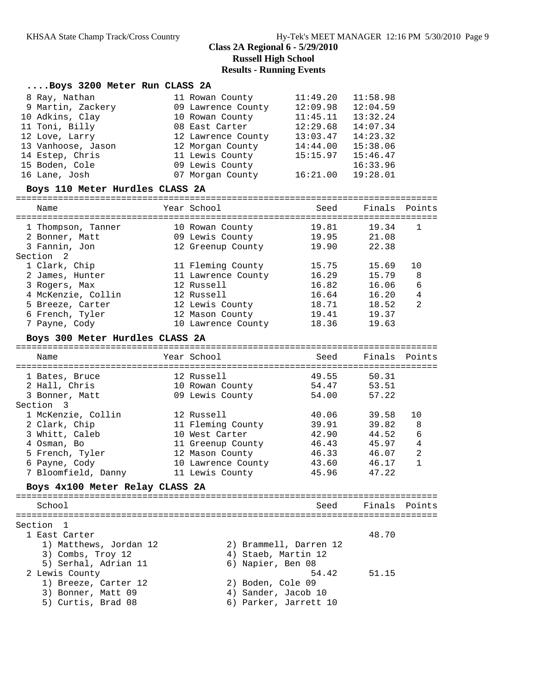## **Class 2A Regional 6 - 5/29/2010 Russell High School Results - Running Events**

| Boys 3200 Meter Run CLASS 2A    |                    |          |               |  |
|---------------------------------|--------------------|----------|---------------|--|
| 8 Ray, Nathan                   | 11 Rowan County    | 11:49.20 | 11:58.98      |  |
| 9 Martin, Zackery               | 09 Lawrence County | 12:09.98 | 12:04.59      |  |
| 10 Adkins, Clay                 | 10 Rowan County    | 11:45.11 | 13:32.24      |  |
| 11 Toni, Billy                  | 08 East Carter     | 12:29.68 | 14:07.34      |  |
| 12 Love, Larry                  | 12 Lawrence County | 13:03.47 | 14:23.32      |  |
| 13 Vanhoose, Jason              | 12 Morgan County   | 14:44.00 | 15:38.06      |  |
| 14 Estep, Chris                 | 11 Lewis County    | 15:15.97 | 15:46.47      |  |
| 15 Boden, Cole                  | 09 Lewis County    |          | 16:33.96      |  |
| 16 Lane, Josh                   | 07 Morgan County   | 16:21.00 | 19:28.01      |  |
| Boys 110 Meter Hurdles CLASS 2A |                    |          |               |  |
| Name                            | Year School        | Seed     | Finals Points |  |

| 1 Thompson, Tanner | 10 Rowan County    | 19.81 | 19.34 |                |  |
|--------------------|--------------------|-------|-------|----------------|--|
| 2 Bonner, Matt     | 09 Lewis County    | 19.95 | 21.08 |                |  |
| 3 Fannin, Jon      | 12 Greenup County  | 19.90 | 22.38 |                |  |
| Section 2          |                    |       |       |                |  |
| 1 Clark, Chip      | 11 Fleming County  | 15.75 | 15.69 | 1 O            |  |
| 2 James, Hunter    | 11 Lawrence County | 16.29 | 15.79 | 8              |  |
| 3 Rogers, Max      | 12 Russell         | 16.82 | 16.06 | 6              |  |
| 4 McKenzie, Collin | 12 Russell         | 16.64 | 16.20 | 4              |  |
| 5 Breeze, Carter   | 12 Lewis County    | 18.71 | 18.52 | $\overline{2}$ |  |
| 6 French, Tyler    | 12 Mason County    | 19.41 | 19.37 |                |  |
| 7 Payne, Cody      | 10 Lawrence County | 18.36 | 19.63 |                |  |
|                    |                    |       |       |                |  |

#### **Boys 300 Meter Hurdles CLASS 2A**

| Name                            | Year School        | Seed  | Finals Points |                |
|---------------------------------|--------------------|-------|---------------|----------------|
|                                 |                    |       |               |                |
| 1 Bates, Bruce                  | 12 Russell         | 49.55 | 50.31         |                |
| 2 Hall, Chris                   | 10 Rowan County    | 54.47 | 53.51         |                |
| 3 Bonner, Matt                  | 09 Lewis County    | 54.00 | 57.22         |                |
| Section 3                       |                    |       |               |                |
| 1 McKenzie, Collin              | 12 Russell         | 40.06 | 39.58         | 10             |
| 2 Clark, Chip                   | 11 Fleming County  | 39.91 | 39.82         | 8              |
| 3 Whitt, Caleb                  | 10 West Carter     | 42.90 | 44.52         | 6              |
| 4 Osman, Bo                     | 11 Greenup County  | 46.43 | 45.97         | 4              |
| 5 French, Tyler                 | 12 Mason County    | 46.33 | 46.07         | $\mathfrak{D}$ |
| 6 Payne, Cody                   | 10 Lawrence County | 43.60 | 46.17         |                |
| 7 Bloomfield, Danny             | 11 Lewis County    | 45.96 | 47.22         |                |
| Boys 4x100 Meter Relay CLASS 2A |                    |       |               |                |
| School                          |                    | Seed  | Finals        | Points         |
| $C = L L L$                     |                    |       |               |                |

Section 1

| 1 East Carter          |                        | 48.70 |
|------------------------|------------------------|-------|
| 1) Matthews, Jordan 12 | 2) Brammell, Darren 12 |       |
| 3) Combs, Troy 12      | 4) Staeb, Martin 12    |       |
| 5) Serhal, Adrian 11   | 6) Napier, Ben 08      |       |
| 2 Lewis County         | 54.42                  | 51.15 |
| 1) Breeze, Carter 12   | 2) Boden, Cole 09      |       |
| 3) Bonner, Matt 09     | 4) Sander, Jacob 10    |       |
|                        |                        |       |

5) Curtis, Brad 08 6) Parker, Jarrett 10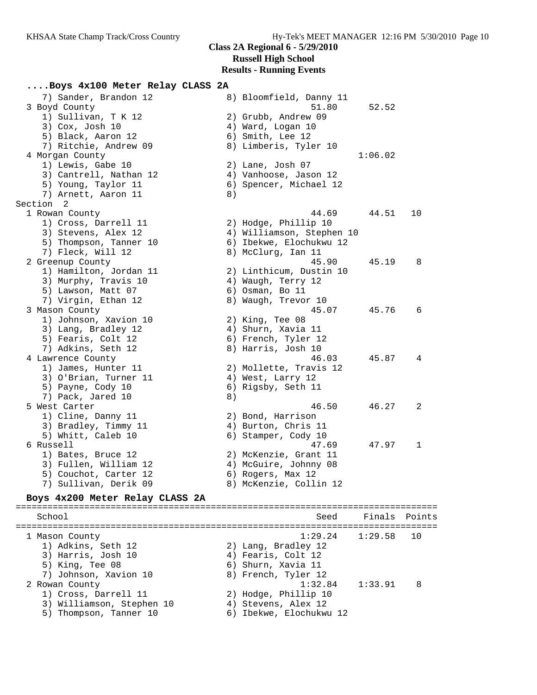# **....Boys 4x100 Meter Relay CLASS 2A**

| 7) Sander, Brandon 12           |    | 8) Bloomfield, Danny 11   |         |     |
|---------------------------------|----|---------------------------|---------|-----|
| 3 Boyd County                   |    | 51.80                     | 52.52   |     |
| 1) Sullivan, T K 12             |    | 2) Grubb, Andrew 09       |         |     |
| 3) Cox, Josh 10                 |    | 4) Ward, Logan 10         |         |     |
| 5) Black, Aaron 12              |    | 6) Smith, Lee 12          |         |     |
| 7) Ritchie, Andrew 09           |    | 8) Limberis, Tyler 10     |         |     |
| 4 Morgan County                 |    |                           | 1:06.02 |     |
| 1) Lewis, Gabe 10               |    | 2) Lane, Josh 07          |         |     |
| 3) Cantrell, Nathan 12          |    | 4) Vanhoose, Jason 12     |         |     |
| 5) Young, Taylor 11             |    | 6) Spencer, Michael 12    |         |     |
| 7) Arnett, Aaron 11             | 8) |                           |         |     |
| Section 2                       |    |                           |         |     |
| 1 Rowan County                  |    | 44.69                     | 44.51   | 10  |
| 1) Cross, Darrell 11            |    | 2) Hodge, Phillip 10      |         |     |
| 3) Stevens, Alex 12             |    | 4) Williamson, Stephen 10 |         |     |
| 5) Thompson, Tanner 10          |    | 6) Ibekwe, Elochukwu 12   |         |     |
| 7) Fleck, Will 12               |    | 8) McClurg, Ian 11        |         |     |
| 2 Greenup County                |    | 45.90                     | 45.19   | - 8 |
| 1) Hamilton, Jordan 11          |    | 2) Linthicum, Dustin 10   |         |     |
| 3) Murphy, Travis 10            |    | 4) Waugh, Terry 12        |         |     |
| 5) Lawson, Matt 07              |    | 6) Osman, Bo 11           |         |     |
| 7) Virgin, Ethan 12             |    | 8) Waugh, Trevor 10       |         |     |
| 3 Mason County                  |    | 45.07                     | 45.76   | - 6 |
| 1) Johnson, Xavion 10           |    | 2) King, Tee 08           |         |     |
| 3) Lang, Bradley 12             |    | 4) Shurn, Xavia 11        |         |     |
| 5) Fearis, Colt 12              |    | 6) French, Tyler 12       |         |     |
| 7) Adkins, Seth 12              |    | 8) Harris, Josh 10        |         |     |
| 4 Lawrence County               |    | 46.03                     | 45.87   | 4   |
| 1) James, Hunter 11             |    | 2) Mollette, Travis 12    |         |     |
| 3) O'Brian, Turner 11           |    | 4) West, Larry 12         |         |     |
| 5) Payne, Cody 10               |    | 6) Rigsby, Seth 11        |         |     |
| 7) Pack, Jared 10               | 8) |                           |         |     |
| 5 West Carter                   |    | 46.50                     | 46.27   | 2   |
| 1) Cline, Danny 11              |    | 2) Bond, Harrison         |         |     |
| 3) Bradley, Timmy 11            |    | 4) Burton, Chris 11       |         |     |
| 5) Whitt, Caleb 10              |    | 6) Stamper, Cody 10       |         |     |
| 6 Russell                       |    | 47.69                     | 47.97   | 1   |
| 1) Bates, Bruce 12              |    | 2) McKenzie, Grant 11     |         |     |
| 3) Fullen, William 12           |    |                           |         |     |
|                                 |    | 4) McGuire, Johnny 08     |         |     |
| 5) Couchot, Carter 12           |    | 6) Rogers, Max 12         |         |     |
| 7) Sullivan, Derik 09           |    | 8) McKenzie, Collin 12    |         |     |
| Boys 4x200 Meter Relay CLASS 2A |    |                           |         |     |

#### **Boys 4x200 Meter Relay CLASS 2A**

================================================================================ School Seed Finals Points ================================================================================ 1 Mason County 1:29.24 1:29.58 10 1) Adkins, Seth 12 2) Lang, Bradley 12 3) Harris, Josh 10 (4) Fearis, Colt 12 5) King, Tee 08 6) Shurn, Xavia 11 7) Johnson, Xavion 10  $\hphantom{\text{2.65}$  8) French, Tyler 12 2 Rowan County 1:32.84 1:33.91 8 1) Cross, Darrell 11 2) Hodge, Phillip 10 3) Williamson, Stephen 10 (4) Stevens, Alex 12 5) Thompson, Tanner 10 6) Ibekwe, Elochukwu 12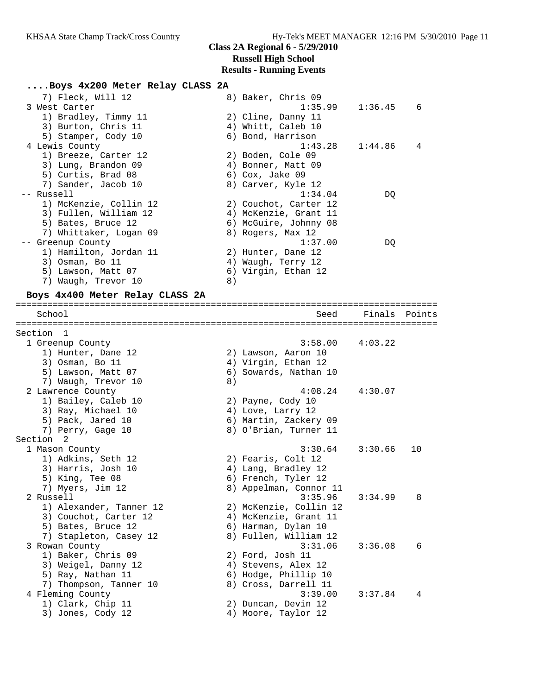#### **....Boys 4x200 Meter Relay CLASS 2A**

| 7) Fleck, Will 12      | 8) Baker, Chris 09    |                     |                |
|------------------------|-----------------------|---------------------|----------------|
| 3 West Carter          |                       | $1:35.99$ $1:36.45$ | 6              |
| 1) Bradley, Timmy 11   | 2) Cline, Danny 11    |                     |                |
| 3) Burton, Chris 11    | 4) Whitt, Caleb 10    |                     |                |
| 5) Stamper, Cody 10    | 6) Bond, Harrison     |                     |                |
| 4 Lewis County         |                       | $1:43.28$ $1:44.86$ | $\overline{4}$ |
| 1) Breeze, Carter 12   | 2) Boden, Cole 09     |                     |                |
| 3) Lung, Brandon 09    | 4) Bonner, Matt 09    |                     |                |
| 5) Curtis, Brad 08     | 6) Cox, Jake 09       |                     |                |
| 7) Sander, Jacob 10    | 8) Carver, Kyle 12    |                     |                |
| -- Russell             | 1:34.04               | DO                  |                |
| 1) McKenzie, Collin 12 | 2) Couchot, Carter 12 |                     |                |
| 3) Fullen, William 12  | 4) McKenzie, Grant 11 |                     |                |
| 5) Bates, Bruce 12     | 6) McGuire, Johnny 08 |                     |                |
| 7) Whittaker, Logan 09 | 8) Rogers, Max 12     |                     |                |
| Greenup County         | 1:37.00               | DQ                  |                |
| 1) Hamilton, Jordan 11 | 2) Hunter, Dane 12    |                     |                |
| 3) Osman, Bo 11        | 4) Waugh, Terry 12    |                     |                |
| 5) Lawson, Matt 07     | 6) Virgin, Ethan 12   |                     |                |
| 7) Waugh, Trevor 10    | 8)                    |                     |                |
|                        |                       |                     |                |

#### **Boys 4x400 Meter Relay CLASS 2A** ================================================================================

 School Seed Finals Points ================================================================================ Section 1 1 Greenup County 3:58.00 4:03.22 1) Hunter, Dane 12 2) Lawson, Aaron 10 3) Osman, Bo 11 4) Virgin, Ethan 12 5) Lawson, Matt 07 6) Sowards, Nathan 10 7) Waugh, Trevor 10 (8) 2 Lawrence County 4:08.24 4:30.07 1) Bailey, Caleb 10 2) Payne, Cody 10 3) Ray, Michael 10  $\hphantom{\text{2.65}$  4) Love, Larry 12 5) Pack, Jared 10 6) Martin, Zackery 09 7) Perry, Gage 10 8) O'Brian, Turner 11 Section 2 1 Mason County 3:30.64 3:30.66 10 1) Adkins, Seth 12 2) Fearis, Colt 12 3) Harris, Josh 10 (4) Lang, Bradley 12 5) King, Tee 08 6) French, Tyler 12 7) Myers, Jim 12 8) Appelman, Connor 11 2 Russell 3:35.96 3:34.99 8 1) Alexander, Tanner 12 2) McKenzie, Collin 12 3) Couchot, Carter 12 4) McKenzie, Grant 11 5) Bates, Bruce 12 (6) Harman, Dylan 10 7) Stapleton, Casey 12 8) Fullen, William 12 3 Rowan County 3:31.06 3:36.08 6 1) Baker, Chris 09 2) Ford, Josh 11 3) Weigel, Danny 12 (4) Stevens, Alex 12 5) Ray, Nathan 11 6) Hodge, Phillip 10 7) Thompson, Tanner 10 8) Cross, Darrell 11 4 Fleming County 3:39.00 3:37.84 4 1) Clark, Chip 11 2) Duncan, Devin 12 3) Jones, Cody 12 4) Moore, Taylor 12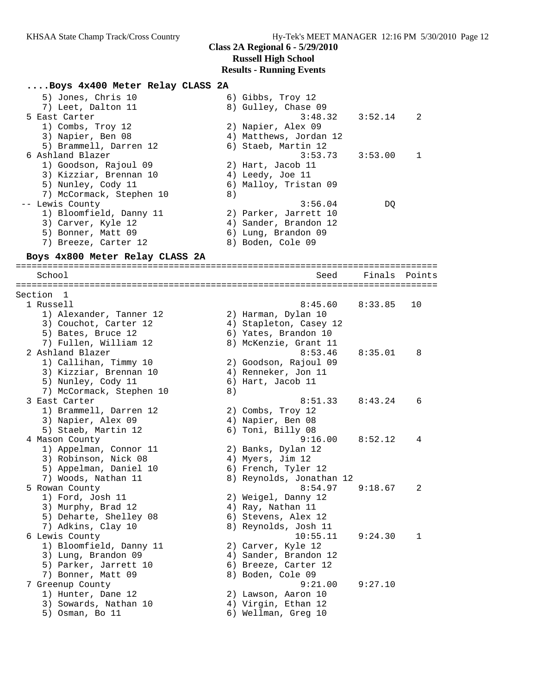#### **....Boys 4x400 Meter Relay CLASS 2A**

| 5) Jones, Chris 10       | 6) Gibbs, Troy 12                                 |
|--------------------------|---------------------------------------------------|
| 7) Leet, Dalton 11       | 8) Gulley, Chase 09                               |
| 5 East Carter            | $3:48.32$ $3:52.14$<br>$\overline{\phantom{0}}^2$ |
| 1) Combs, Troy 12        | 2) Napier, Alex 09                                |
| 3) Napier, Ben 08        | 4) Matthews, Jordan 12                            |
| 5) Brammell, Darren 12   | 6) Staeb, Martin 12                               |
| 6 Ashland Blazer         | $3:53.73$ $3:53.00$<br>-1                         |
| 1) Goodson, Rajoul 09    | 2) Hart, Jacob 11                                 |
| 3) Kizziar, Brennan 10   | 4) Leedy, Joe 11                                  |
| 5) Nunley, Cody 11       | 6) Malloy, Tristan 09                             |
| 7) McCormack, Stephen 10 | 8)                                                |
| -- Lewis County          | 3:56.04<br>DO                                     |
| 1) Bloomfield, Danny 11  | 2) Parker, Jarrett 10                             |
| 3) Carver, Kyle 12       | 4) Sander, Brandon 12                             |
| 5) Bonner, Matt 09       | 6) Lung, Brandon 09                               |
| 7) Breeze, Carter 12     | 8) Boden, Cole 09                                 |

#### **Boys 4x800 Meter Relay CLASS 2A**

================================================================================ School Seed Finals Points ================================================================================ Section 1 1 Russell 8:45.60 8:33.85 10 1) Alexander, Tanner 12 2) Harman, Dylan 10 3) Couchot, Carter 12 4) Stapleton, Casey 12 5) Bates, Bruce 12 (6) Yates, Brandon 10 7) Fullen, William 12 8) McKenzie, Grant 11 2 Ashland Blazer 8:53.46 8:35.01 8 1) Callihan, Timmy 10 2) Goodson, Rajoul 09 3) Kizziar, Brennan 10 4) Renneker, Jon 11 5) Nunley, Cody 11 6) Hart, Jacob 11 7) McCormack, Stephen 10 8) 3 East Carter 8:51.33 8:43.24 6 1) Brammell, Darren 12 2) Combs, Troy 12 3) Napier, Alex 09 (4) Napier, Ben 08 5) Staeb, Martin 12 (6) Toni, Billy 08 4 Mason County 9:16.00 8:52.12 4 1) Appelman, Connor 11 and 2) Banks, Dylan 12 3) Robinson, Nick 08 (4) Myers, Jim 12 5) Appelman, Daniel 10 6) French, Tyler 12 7) Woods, Nathan 11 8) Reynolds, Jonathan 12 5 Rowan County 8:54.97 9:18.67 2 1) Ford, Josh 11 2) Weigel, Danny 12 3) Murphy, Brad 12 4) Ray, Nathan 11 5) Deharte, Shelley 08 (6) Stevens, Alex 12 7) Adkins, Clay 10 8) Reynolds, Josh 11 6 Lewis County 10:55.11 9:24.30 1 1) Bloomfield, Danny 11 and 2) Carver, Kyle 12 3) Lung, Brandon 09 4) Sander, Brandon 12 5) Parker, Jarrett 10  $\qquad \qquad$  6) Breeze, Carter 12 7) Bonner, Matt 09 8) Boden, Cole 09 7 Greenup County 9:21.00 9:27.10 1) Hunter, Dane 12 2) Lawson, Aaron 10 3) Sowards, Nathan 10  $\hskip1cm$  4) Virgin, Ethan 12 5) Osman, Bo 11 6) Wellman, Greg 10